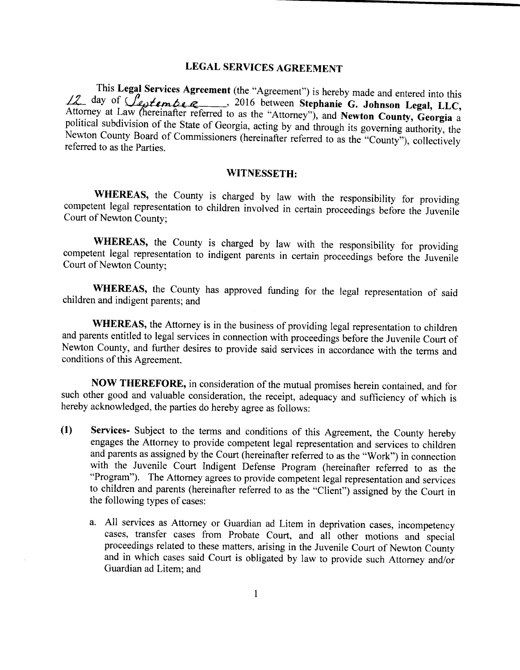## LEGAL SERVICES AGREEMENT

This Legal Services Agreement (the "Agreement") is hereby made and entered into this day of  $\bigcup_{e}$   $\bigcup_{e}$   $\bigcap_{e}$   $\bigcap_{e}$  2016 between Stephanie G. Johnson Legal, LLC, Attorney at Law (hereinafter referred to as the "Attorney"), and Newton County, Georgia a political subdivision of the State of Georgia, acting by and through its governing authority, the Newton County Board of Commissioners (hereinafter referred to as the "County"), collectively referred to as the Parties.

## WITNESSETH:

WHEREAS, the County is charged by law with the responsibility for providing competent legal representation to children involved in certain proceedings before the Juvenile Court of Newton County;

WHEREAS, the County is charged by law with the responsibility for providing competent legal representation to indigent parents in certain proceedings before the Juvenile Court of Newton County;

WHEREAS, the County has approved funding for the legal representation of said children and indigent parents; and

WHEREAS, the Attorney is in the business of providing legal representation to children and parents entitled to legal services in connection with proceedings before the Juvenile Court of Newton County, and further desires to provide said services in accordance with the terms and conditions of this Agreement.

NOW THEREFORE, in consideration of the mutual promises herein contained, and for such other good and valuable consideration, the receipt, adequacy and sufficiency of which is hereby acknowledged, the parties do hereby agree as follows:

- 1) Services- Subject to the terms and conditions of this Agreement, the County hereby engages the Attorney to provide competent legal representation and services to children and parents as assigned by the Court (hereinafter referred to as the " Work") in connection with the Juvenile Court Indigent Defense Program ( hereinafter referred to as the Program"). The Attorney agrees to provide competent legal representation and services to children and parents ( hereinafter referred to as the " Client") assigned by the Court in the following types of cases:
	- a. All services as Attorney or Guardian ad Litem in deprivation cases, incompetency cases, transfer cases from Probate Court, and all other motions and special proceedings related to these matters, arising in the Juvenile Court of Newton County and in which cases said Court is obligated by law to provide such Attorney and/or Guardian ad Litem; and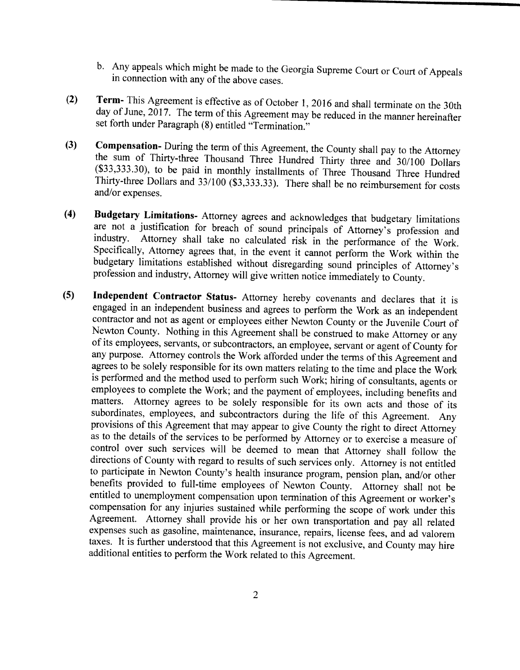- b. Any appeals which might be made to the Georgia Supreme Court or Court of Appeals in connection with any of the above cases.
- 2) Term- This Agreement is effective as of October 1, 2016 and shall terminate on the 30th day of June,  $2017$ . The term of this Agreement may be reduced in the manner hereinafter set forth under Paragraph (8) entitled "Termination."
- 3) Compensation- During the term of this Agreement, the County shall pay to the Attorney the sum of Thirty-three Thousand Three Hundred Thirty three and 30/100 Dollars 33, 333. 30), to be paid in monthly installments of Three Thousand Three Hundred Thirty-three Dollars and 33/100 (\$3,333.33). There shall be no reimbursement for costs and/or expenses.
- 4) Budgetary Limitations- Attorney agrees and acknowledges that budgetary limitations are not a justification for breach of sound principals of Attorney's profession and industry. Attorney shall take no calculated risk in the performance of the Work. Specifically, Attorney agrees that, in the event it cannot perform the Work within the budgetary limitations established without disregarding sound principles of Attorney's profession and industry, Attorney will give written notice immediately to County.
- 5) Independent Contractor Status- Attorney hereby covenants and declares that it is engaged in an independent business and agrees to perform the Work as an independent contractor and not as agent or employees either Newton County or the Juvenile Court of Newton County. Nothing in this Agreement shall be construed to make Attorney or any of its employees, servants, or subcontractors, an employee, servant or agent of County for any purpose. Attorney controls the Work afforded under the terms of this Agreement and agrees to be solely responsible for its own matters relating to the time and place the Work is performed and the method used to perform such Work; hiring of consultants, agents or employees to complete the Work; and the payment of employees, including benefits and matters. Attorney agrees to be solely responsible for its own acts and those of its subordinates, employees, and subcontractors during the life of this Agreement. Any provisions of this Agreement that may appear to give County the right to direct Attorney as to the details of the services to be performed by Attorney or to exercise <sup>a</sup> measure of control over such services will be deemed to mean that Attorney shall follow the directions of County with regard to results of such services only. Attorney is not entitled to participate in Newton County's health insurance program, pension plan, and/or other benefits provided to full-time employees of Newton County. Attorney shall not be entitled to unemployment compensation upon termination of this Agreement or worker's compensation for any injuries sustained while performing the scope of work under this Agreement. Attorney shall provide his or her own transportation and pay all related expenses such as gasoline, maintenance, insurance, repairs, license fees, and ad valorem taxes. It is further understood that this Agreement is not exclusive, and County may hire additional entities to perform the Work related to this Agreement.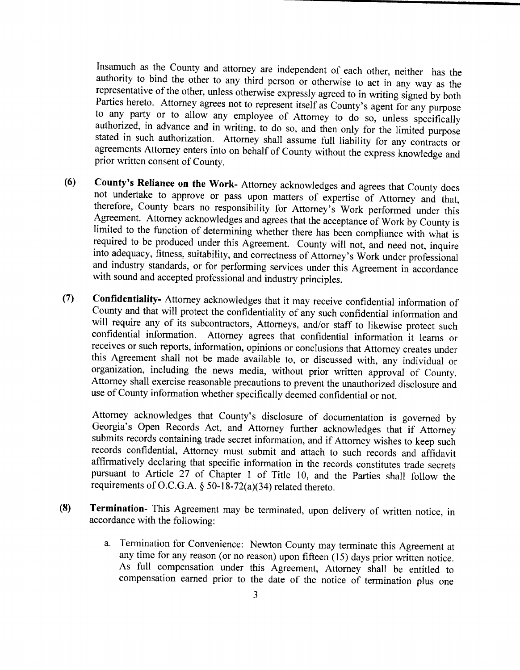Insamuch as the County and attorney are independent of each other, neither has the authority to bind the other to any third person or otherwise to act in any way as the representative of the other, unless otherwise expressly agreed to in writing signed by both Parties hereto. Attorney agrees not to represent itself as County's agent for any purpose<br>to any party or to allow any employee of Attorney to do so, unless specifically authorized, in advance and in writing, to do so, and then only for the limited purpose stated in such authorization. Attorney shall assume full liability for any contracts or agreements Attorney enters into on behalf of County without the express knowledge and prior written consent of County.

- (6) County's Reliance on the Work- Attorney acknowledges and agrees that County does not undertake to approve or pass upon matters of expertise of Attorney and that, therefore, County bears no responsibility for Attorney's Work performed under this Agreement. Attorney acknowledges and agrees that the acceptance of Work by County is limited to the function of determining whether there has been compliance with what is required to be produced under this Agreement. County will not, and need not, inquire into adequacy, fitness, suitability, and correctness of Attorney's Work under professional and industry standards, or for performing services under this Agreement in accordance with sound and accepted professional and industry principles.
- 7) Confidentiality- Attorney acknowledges that it may receive confidential information of County and that will protect the confidentiality of any such confidential information and will require any of its subcontractors, Attorneys, and/or staff to likewise protect such confidential information. Attorney agrees that confidential information it learns or receives or such reports, information, opinions or conclusions that Attorney creates under this Agreement shall not be made available to, or discussed with, any individual or organization, including the news media, without prior written approval of County. Attorney shall exercise reasonable precautions to prevent the unauthorized disclosure and use of County information whether specifically deemed confidential or not.

Attorney acknowledges that County's disclosure of documentation is governed by Georgia's Open Records Act, and Attorney further acknowledges that if Attorney submits records containing trade secret information, and if Attorney wishes to keep such records confidential, Attorney must submit and attach to such records and affidavit affirmatively declaring that specific information in the records constitutes trade secrets pursuant to Article 27 of Chapter <sup>1</sup> of Title 10, and the Parties shall follow the requirements of O.C.G.A.  $\S$  50-18-72(a)(34) related thereto.

- 8) Termination- This Agreement may be terminated, upon delivery of written notice, in accordance with the following:
	- a. Termination for Convenience: Newton County may terminate this Agreement at any time for any reason (or no reason) upon fifteen (15) days prior written notice. As full compensation under this Agreement, Attorney shall be entitled to compensation earned prior to the date of the notice of termination plus one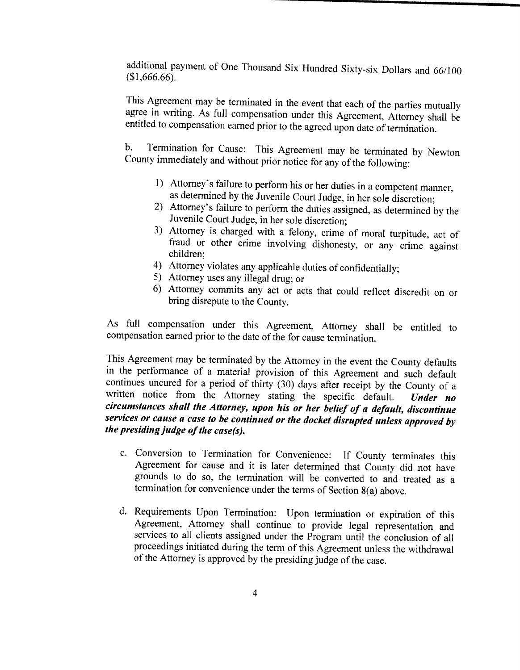additional payment of One Thousand Six Hundred Sixty-six Dollars and 66/100  $$1, 666.66$ .

This Agreement may be terminated in the event that each of the parties mutually agree in writing. As full compensation under this Agreement, Attorney shall be entitled to compensation earned prior to the agreed upon date of termination.

b. Termination for Cause: This Agreement may be terminated by Newton County immediately and without prior notice for any of the following:

- 1) Attorney's failure to perform his or her duties in a competent manner, as determined by the Juvenile Court Judge, in her sole discretion;
- 2) Attorney's failure to perform the duties assigned, as determined by the Juvenile Court Judge, in her sole discretion;
- 3) Attorney is charged with <sup>a</sup> felony, crime of moral turpitude, act of fraud or other crime involving dishonesty, or any crime against children;
- 4) Attorney violates any applicable duties of confidentially;
- 5) Attorney uses any illegal drug; or
- 6) Attorney commits any act or acts that could reflect discredit on or bring disrepute to the County.

As full compensation under this Agreement, Attorney shall be entitled to compensation earned prior to the date of the for cause termination.

This Agreement may be terminated by the Attorney in the event the County defaults in the performance of <sup>a</sup> material provision of this Agreement and such default continues uncured for a period of thirty (30) days after receipt by the County of a written notice from the Attorney stating the specific default. Under no written notice from the Attorney stating the specific default. circumstances shall the Attorney, upon his or her belief of a default, discontinue services or cause a case to be continued or the docket disrupted unless approved by the presiding judge of the case(s).

- c. Conversion to Termination for Convenience: If County terminates this Agreement for cause and it is later determined that County did not have grounds to do so, the termination will be converted to and treated as <sup>a</sup> termination for convenience under the terms of Section  $8(a)$  above.
- d. Requirements Upon Termination: Upon termination or expiration of this Agreement, Attorney shall continue to provide legal representation and services to all clients assigned under the Program until the conclusion of all proceedings initiated during the term of this Agreement unless the withdrawal of the Attorney is approved by the presiding judge of the case.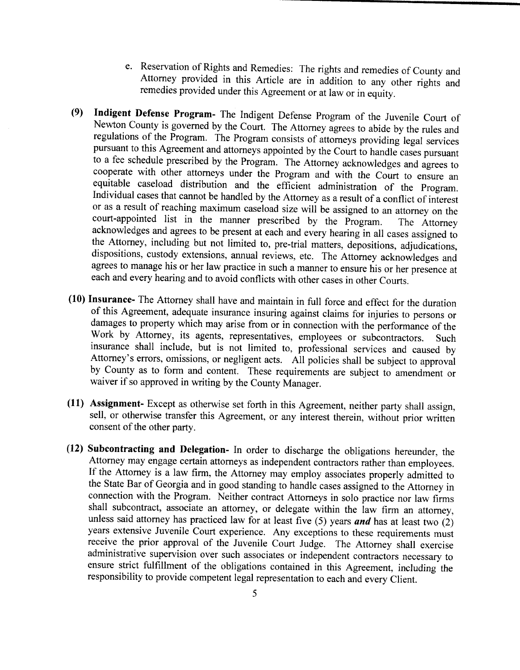- e. Reservation of Rights and Remedies: The rights and remedies of County and Attorney provided in this Article are in addition to any other rights and remedies provided under this Agreement or at law or in equity.
- 9) Indigent Defense Program- The Indigent Defense Program of the Juvenile Court of Newton County is governed by the Court. The Attorney agrees to abide by the rules and regulations of the Program. The Program consists of attorneys providing legal services pursuant to this Agreement and attorneys appointed by the Court to handle cases pursuant to <sup>a</sup> fee schedule prescribed by the Program. The Attorney acknowledges and agrees to cooperate with other attorneys under the Program and with the Court to ensure an equitable caseload distribution and the efficient administration of the Program. Individual cases that cannot be handled by the Attorney as <sup>a</sup> result of <sup>a</sup> conflict of interest or as a result of reaching maximum caseload size will be assigned to an attorney on the court-appointed list in the manner prescribed by the Program. The Attorney court-appointed list in the manner prescribed by the Program. acknowledges and agrees to be present at each and every hearing in all cases assigned to the Attorney, including but not limited to, pre-trial matters, depositions, adjudications, dispositions, custody extensions, annual reviews, etc. The Attorney acknowledges and agrees to manage his or her law practice in such a manner to ensure his or her presence at each and every hearing and to avoid conflicts with other cases in other Courts.
- 10) Insurance- The Attorney shall have and maintain in full force and effect for the duration of this Agreement, adequate insurance insuring against claims for injuries to persons or damages to property which may arise from or in connection with the performance of the Work by Attorney, its agents, representatives, employees or subcontractors. Such insurance shall include, but is not limited to, professional services and caused by Attorney's errors, omissions, or negligent acts. All policies shall be subject to approval by County as to form and content. These requirements are subject to amendment or waiver if so approved in writing by the County Manager.
- 11) Assignment- Except as otherwise set forth in this Agreement, neither party shall assign, sell, or otherwise transfer this Agreement, or any interest therein, without prior written consent of the other party.
- 12) Subcontracting and Delegation- In order to discharge the obligations hereunder, the Attorney may engage certain attorneys as independent contractors rather than employees. If the Attorney is <sup>a</sup> law firm, the Attorney may employ associates properly admitted to the State Bar of Georgia and in good standing to handle cases assigned to the Attorney in connection with the Program. Neither contract Attorneys in solo practice nor law firms shall subcontract, associate an attorney, or delegate within the law firm an attorney, unless said attorney has practiced law for at least five (5) years and has at least two  $(2)$ years extensive Juvenile Court experience. Any exceptions to these requirements must receive the prior approval of the Juvenile Court Judge. The Attorney shall exercise administrative supervision over such associates or independent contractors necessary to ensure strict fulfillment of the obligations contained in this Agreement, including the responsibility to provide competent legal representation to each and every Client.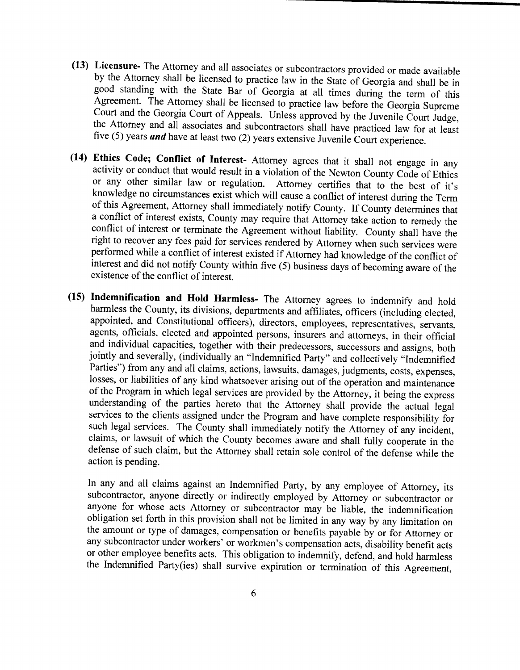- 13) Licensure- The Attorney and all associates or subcontractors provided or made available by the Attorney shall be licensed to practice law in the State of Georgia and shall be in good standing with the State Bar of Georgia at all times during the term of this Agreement. The Attorney shall be licensed to practice law before the Georgia Supreme Court and the Georgia Court of Appeals. Unless approved by the Juvenile Court Judge, the Attorney and all associates and subcontractors shall have practiced law for at least five (5) years and have at least two (2) years extensive Juvenile Court experience.
- 14) Ethics Code; Conflict of Interest- Attorney agrees that it shall not engage in any activity or conduct that would result in <sup>a</sup> violation of the Newton County Code of Ethics or any other similar law or regulation. Attorney certifies that to the best of it's of this Agreement, Attorney shall immediately notify County. If County determines that knowledge no circumstances exist which will cause <sup>a</sup> conflict of interest during the Term a conflict of interest exists, County may require that Attorney take action to remedy the conflict of interest or terminate the Agreement without liability. County shall have the right to recover any fees paid for services rendered by Attorney when such services were performed while a conflict of interest existed if Attorney had knowledge of the conflict of interest and did not notify County within five  $(5)$  business days of becoming aware of the existence of the conflict of interest.
- 15) Indemnification and Hold Harmless- The Attorney agrees to indemnify and hold harmless the County, its divisions, departments and affiliates, officers (including elected, appointed, and Constitutional officers), directors, employees, representatives, servants, agents, officials, elected and appointed persons, insurers and attorneys, in their official and individual capacities, together with their predecessors, successors and assigns, both jointly and severally, (individually an "Indemnified Party" and collectively "Indemnified Parties") from any and all claims, actions, lawsuits, damages, judgments, costs, expenses, losses, or liabilities of any kind whatsoever arising out of the operation and maintenance of the Program in which legal services are provided by the Attorney, it being the express understanding of the parties hereto that the Attorney shall provide the actual legal services to the clients assigned under the Program and have complete responsibility for such legal services. The County shall immediately notify the Attorney of any incident, claims, or lawsuit of which the County becomes aware and shall fully cooperate in the defense of such claim, but the Attorney shall retain sole control of the defense while the action is pending.

In any and all claims against an Indemnified Party, by any employee of Attorney, its subcontractor, anyone directly or indirectly employed by Attorney or subcontractor or anyone for whose acts Attorney or subcontractor may be liable, the indemnification obligation set forth in this provision shall not be limited in any way by any limitation on the amount or type of damages, compensation or benefits payable by or for Attorney or any subcontractor under workers' or workmen's compensation acts, disability benefit acts or other employee benefits acts. This obligation to indemnify, defend, and hold harmless the Indemnified Party(ies) shall survive expiration or termination of this Agreement,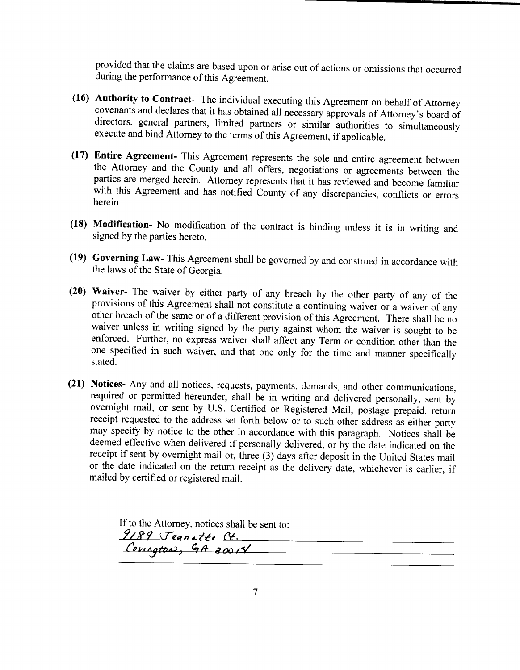provided that the claims are based upon or arise out of actions or omissions that occurred during the performance of this Agreement.

- 16) Authority to Contract- The individual executing this Agreement on behalf of Attorney directors, general partners, limited partners or similar authorities to simultaneously execute and bind Attorney to the terms of this Agreement, if applicable.
- 17) Entire Agreement- This Agreement represents the sole and entire agreement between the Attorney and the County and all offers, negotiations or agreements between the parties are merged herein. Attorney represents that it has reviewed and become familiar with this Agreement and has notified County of any discrepancies, conflicts or errors herein.
- 18) Modification- No modification of the contract is binding unless it is in writing and signed by the parties hereto.
- 19) Governing Law- This Agreement shall be governed by and construed in accordance with the laws of the State of Georgia.
- 20) Waiver- The waiver by either party of any breach by the other party of any of the provisions of this Agreement shall not constitute <sup>a</sup> continuing waiver or <sup>a</sup> waiver of any other breach of the same or of <sup>a</sup> different provision of this Agreement. There shall be no waiver unless in writing signed by the party against whom the waiver is sought to be enforced. Further, no express waiver shall affect any Term or condition other than the one specified in such waiver, and that one only for the time and manner specifically stated.
- 21) Notices- Any and all notices, requests, payments, demands, and other communications, required or permitted hereunder, shall be in writing and delivered personally, sent by overnight mail, or sent by U.S. Certified or Registered Mail, postage prepaid, return receipt requested to the address set forth below or to such other address as either party may specify by notice to the other in accordance with this paragraph. Notices shall be deemed effective when delivered if personally delivered, or by the date indicated on the receipt if sent by overnight mail or, three (3) days after deposit in the United States mail or the date indicated on the return receipt as the delivery date, whichever is earlier, if mailed by certified or registered mail.

If to the Attorney, notices shall be sent to: to the Attorney, notices s<br>
289 Tean ette C Cornator, GA 20014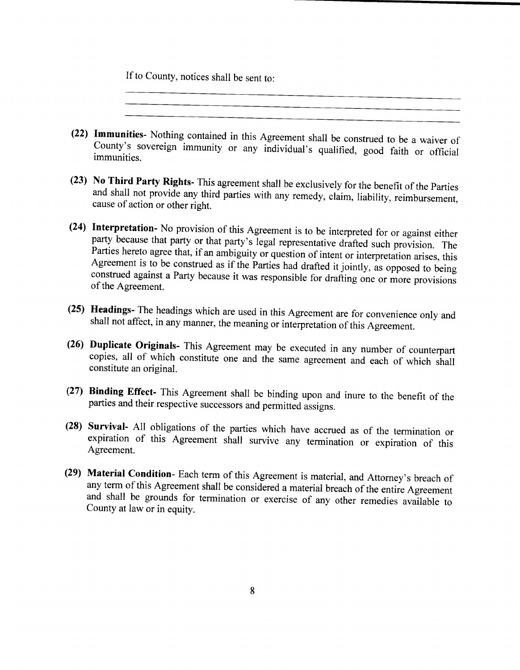If to County, notices shall be sent to:

22) Immunities- Nothing contained in this Agreement shall be construed to be <sup>a</sup> waiver of County's sovereign immunity or any individual's qualified, good faith or official immunities.

- 23) No Third Party Rights- This agreement shall be exclusively for the benefit of the Parties and shall not provide any third parties with any remedy, claim, liability, reimbursement, cause of action or other right.
- 24) Interpretation- No provision of this Agreement is to be interpreted for or against either party because that party or that party's legal representative drafted such provision. The Parties hereto agree that, if an ambiguity or question of intent or interpretation arises, this Agreement is to be construed as if the Parties had drafted it jointly, as opposed to being construed against a Party because it was responsible for drafting one or more provisions of the Agreement.
- 25) Headings- The headings which are used in this Agreement are for convenience only and shall not affect, in any manner, the meaning or interpretation of this Agreement.
- 26) Duplicate Originals- This Agreement may be executed in any number of counterpart copies, all of which constitute one and the same agreement and each of which shall constitute an original.
- 27) Binding Effect- This Agreement shall be binding upon and inure to the benefit of the parties and their respective successors and permitted assigns.
- 28) Survival- All obligations of the parties which have accrued as of the termination or expiration of this Agreement shall survive any termination or expiration of this Agreement.
- (29) Material Condition- Each term of this Agreement is material, and Attorney's breach of any term of this Agreement shall be considered <sup>a</sup> material breach of the entire Agreement and shall be grounds for termination or exercise of any other remedies available to County at law or in equity.